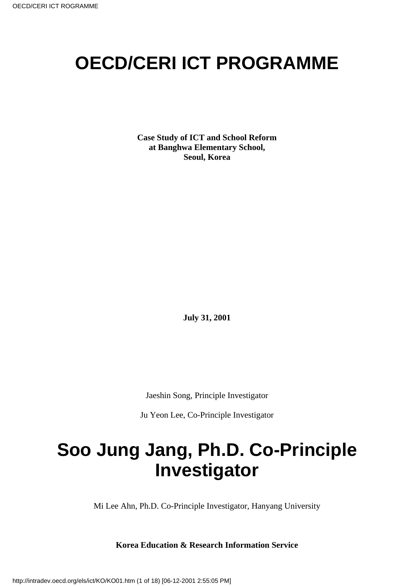# **OECD/CERI ICT PROGRAMME**

**Case Study of ICT and School Reform at Banghwa Elementary School, Seoul, Korea**

**July 31, 2001**

Jaeshin Song, Principle Investigator

Ju Yeon Lee, Co-Principle Investigator

# **Soo Jung Jang, Ph.D. Co-Principle Investigator**

Mi Lee Ahn, Ph.D. Co-Principle Investigator, Hanyang University

**Korea Education & Research Information Service**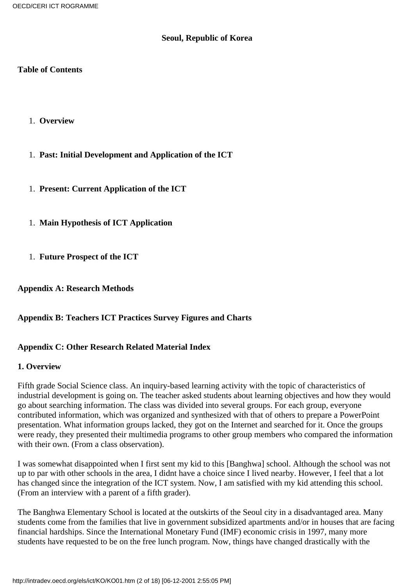#### **Seoul, Republic of Korea**

#### **Table of Contents**

- 1. **Overview**
- 1. **Past: Initial Development and Application of the ICT**
- 1. **Present: Current Application of the ICT**
- 1. **Main Hypothesis of ICT Application**
- 1. **Future Prospect of the ICT**

**Appendix A: Research Methods**

## **Appendix B: Teachers ICT Practices Survey Figures and Charts**

## **Appendix C: Other Research Related Material Index**

#### **1. Overview**

Fifth grade Social Science class. An inquiry-based learning activity with the topic of characteristics of industrial development is going on. The teacher asked students about learning objectives and how they would go about searching information. The class was divided into several groups. For each group, everyone contributed information, which was organized and synthesized with that of others to prepare a PowerPoint presentation. What information groups lacked, they got on the Internet and searched for it. Once the groups were ready, they presented their multimedia programs to other group members who compared the information with their own. (From a class observation).

I was somewhat disappointed when I first sent my kid to this [Banghwa] school. Although the school was not up to par with other schools in the area, I didnt have a choice since I lived nearby. However, I feel that a lot has changed since the integration of the ICT system. Now, I am satisfied with my kid attending this school. (From an interview with a parent of a fifth grader).

The Banghwa Elementary School is located at the outskirts of the Seoul city in a disadvantaged area. Many students come from the families that live in government subsidized apartments and/or in houses that are facing financial hardships. Since the International Monetary Fund (IMF) economic crisis in 1997, many more students have requested to be on the free lunch program. Now, things have changed drastically with the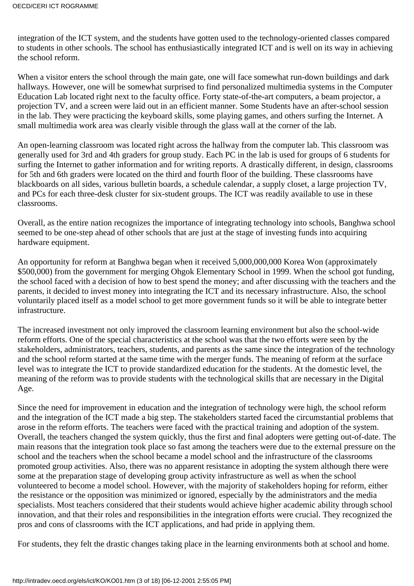integration of the ICT system, and the students have gotten used to the technology-oriented classes compared to students in other schools. The school has enthusiastically integrated ICT and is well on its way in achieving the school reform.

When a visitor enters the school through the main gate, one will face somewhat run-down buildings and dark hallways. However, one will be somewhat surprised to find personalized multimedia systems in the Computer Education Lab located right next to the faculty office. Forty state-of-the-art computers, a beam projector, a projection TV, and a screen were laid out in an efficient manner. Some Students have an after-school session in the lab. They were practicing the keyboard skills, some playing games, and others surfing the Internet. A small multimedia work area was clearly visible through the glass wall at the corner of the lab.

An open-learning classroom was located right across the hallway from the computer lab. This classroom was generally used for 3rd and 4th graders for group study. Each PC in the lab is used for groups of 6 students for surfing the Internet to gather information and for writing reports. A drastically different, in design, classrooms for 5th and 6th graders were located on the third and fourth floor of the building. These classrooms have blackboards on all sides, various bulletin boards, a schedule calendar, a supply closet, a large projection TV, and PC s for each three-desk cluster for six-student groups. The ICT was readily available to use in these classrooms.

Overall, as the entire nation recognizes the importance of integrating technology into schools, Banghwa school seemed to be one-step ahead of other schools that are just at the stage of investing funds into acquiring hardware equipment.

An opportunity for reform at Banghwa began when it received 5,000,000,000 Korea Won (approximately \$500,000) from the government for merging Ohgok Elementary School in 1999. When the school got funding, the school faced with a decision of how to best spend the money; and after discussing with the teachers and the parents, it decided to invest money into integrating the ICT and its necessary infrastructure. Also, the school voluntarily placed itself as a model school to get more government funds so it will be able to integrate better infrastructure.

The increased investment not only improved the classroom learning environment but also the school-wide reform efforts. One of the special characteristics at the school was that the two efforts were seen by the stakeholders, administrators, teachers, students, and parents as the same since the integration of the technology and the school reform started at the same time with the merger funds. The meaning of reform at the surface level was to integrate the ICT to provide standardized education for the students. At the domestic level, the meaning of the reform was to provide students with the technological skills that are necessary in the Digital Age.

Since the need for improvement in education and the integration of technology were high, the school reform and the integration of the ICT made a big step. The stakeholders started faced the circumstantial problems that arose in the reform efforts. The teachers were faced with the practical training and adoption of the system. Overall, the teachers changed the system quickly, thus the first and final adopters were getting out-of-date. The main reasons that the integration took place so fast among the teachers were due to the external pressure on the school and the teachers when the school became a model school and the infrastructure of the classrooms promoted group activities. Also, there was no apparent resistance in adopting the system although there were some at the preparation stage of developing group activity infrastructure as well as when the school volunteered to become a model school. However, with the majority of stakeholders hoping for reform, either the resistance or the opposition was minimized or ignored, especially by the administrators and the media specialists. Most teachers considered that their students would achieve higher academic ability through school innovation, and that their roles and responsibilities in the integration efforts were crucial. They recognized the pros and cons of classrooms with the ICT applications, and had pride in applying them.

For students, they felt the drastic changes taking place in the learning environments both at school and home.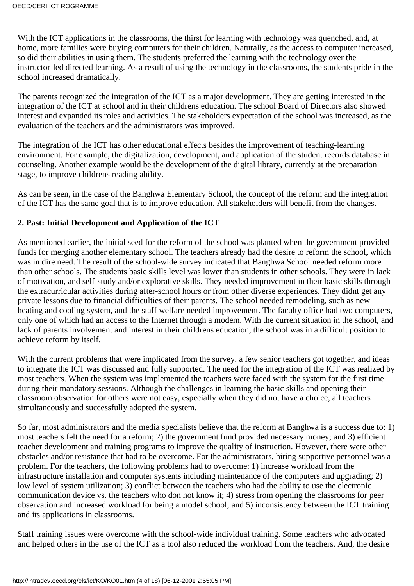With the ICT applications in the classrooms, the thirst for learning with technology was quenched, and, at home, more families were buying computers for their children. Naturally, as the access to computer increased, so did their abilities in using them. The students preferred the learning with the technology over the instructor-led directed learning. As a result of using the technology in the classrooms, the students pride in the school increased dramatically.

The parents recognized the integration of the ICT as a major development. They are getting interested in the integration of the ICT at school and in their children s education. The school Board of Directors also showed interest and expanded its roles and activities. The stakeholders expectation of the school was increased, as the evaluation of the teachers and the administrators was improved.

The integration of the ICT has other educational effects besides the improvement of teaching-learning environment. For example, the digitalization, development, and application of the student records database in counseling. Another example would be the development of the digital library, currently at the preparation stage, to improve children s reading ability.

As can be seen, in the case of the Banghwa Elementary School, the concept of the reform and the integration of the ICT has the same goal that is to improve education. All stakeholders will benefit from the changes.

## **2. Past: Initial Development and Application of the ICT**

As mentioned earlier, the initial seed for the reform of the school was planted when the government provided funds for merging another elementary school. The teachers already had the desire to reform the school, which was in dire need. The result of the school-wide survey indicated that Banghwa School needed reform more than other schools. The students basic skills level was lower than students in other schools. They were in lack of motivation, and self-study and/or explorative skills. They needed improvement in their basic skills through the extracurricular activities during after-school hours or from other diverse experiences. They didnt get any private lessons due to financial difficulties of their parents. The school needed remodeling, such as new heating and cooling system, and the staff welfare needed improvement. The faculty office had two computers, only one of which had an access to the Internet through a modem. With the current situation in the school, and lack of parents involvement and interest in their children s education, the school was in a difficult position to achieve reform by itself.

With the current problems that were implicated from the survey, a few senior teachers got together, and ideas to integrate the ICT was discussed and fully supported. The need for the integration of the ICT was realized by most teachers. When the system was implemented the teachers were faced with the system for the first time during their mandatory sessions. Although the challenges in learning the basic skills and opening their classroom observation for others were not easy, especially when they did not have a choice, all teachers simultaneously and successfully adopted the system.

So far, most administrators and the media specialists believe that the reform at Banghwa is a success due to: 1) most teachers felt the need for a reform; 2) the government fund provided necessary money; and 3) efficient teacher development and training programs to improve the quality of instruction. However, there were other obstacles and/or resistance that had to be overcome. For the administrators, hiring supportive personnel was a problem. For the teachers, the following problems had to overcome: 1) increase workload from the infrastructure installation and computer systems including maintenance of the computers and upgrading; 2) low level of system utilization; 3) conflict between the teachers who had the ability to use the electronic communication device vs. the teachers who don not know it; 4) stress from opening the classrooms for peer observation and increased workload for being a model school; and 5) inconsistency between the ICT training and its applications in classrooms.

Staff training issues were overcome with the school-wide individual training. Some teachers who advocated and helped others in the use of the ICT as a tool also reduced the workload from the teachers. And, the desire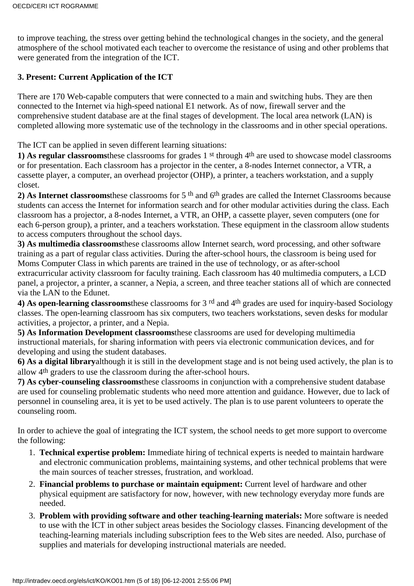to improve teaching, the stress over getting behind the technological changes in the society, and the general atmosphere of the school motivated each teacher to overcome the resistance of using and other problems that were generated from the integration of the ICT.

# **3. Present: Current Application of the ICT**

There are 170 Web-capable computers that were connected to a main and switching hubs. They are then connected to the Internet via high-speed national E1 network. As of now, firewall server and the comprehensive student database are at the final stages of development. The local area network (LAN) is completed allowing more systematic use of the technology in the classrooms and in other special operations.

The ICT can be applied in seven different learning situations:

**1) As regular classrooms**these classrooms for grades 1st through 4th are used to showcase model classrooms or for presentation. Each classroom has a projector in the center, a 8-nodes Internet connector, a VTR, a cassette player, a computer, an overhead projector (OHP), a printer, a teacher s workstation, and a supply closet.

**2) As Internet classrooms**these classrooms for 5th and 6th grades are called the Internet Classrooms because students can access the Internet for information search and for other modular activities during the class. Each classroom has a projector, a 8-nodes Internet, a VTR, an OHP, a cassette player, seven computers (one for each 6-person group), a printer, and a teacher s workstation. These equipment in the classroom allow students to access computers throughout the school days.

**3) As multimedia classrooms**these classrooms allow Internet search, word processing, and other software training as a part of regular class activities. During the after-school hours, the classroom is being used for Moms Computer Class in which parents are trained in the use of technology, or as after-school extracurricular activity classroom for faculty training. Each classroom has 40 multimedia computers, a LCD panel, a projector, a printer, a scanner, a Nepia, a screen, and three teacher stations all of which are connected via the LAN to the Edunet.

**4) As open-learning classrooms**these classrooms for 3rd and 4th grades are used for inquiry-based Sociology classes. The open-learning classroom has six computers, two teacher s workstations, seven desks for modular activities, a projector, a printer, and a Nepia.

**5) As Information Development classrooms**these classrooms are used for developing multimedia instructional materials, for sharing information with peers via electronic communication devices, and for developing and using the student databases.

**6) As a digital library**although it is still in the development stage and is not being used actively, the plan is to allow 4th graders to use the classroom during the after-school hours.

**7) As cyber-counseling classrooms**these classrooms in conjunction with a comprehensive student database are used for counseling problematic students who need more attention and guidance. However, due to lack of personnel in counseling area, it is yet to be used actively. The plan is to use parent volunteers to operate the counseling room.

In order to achieve the goal of integrating the ICT system, the school needs to get more support to overcome the following:

- **Technical expertise problem:** Immediate hiring of technical experts is needed to maintain hardware 1. and electronic communication problems, maintaining systems, and other technical problems that were the main sources of teacher stresses, frustration, and workload.
- **Financial problems to purchase or maintain equipment:** Current level of hardware and other 2. physical equipment are satisfactory for now, however, with new technology everyday more funds are needed.
- **Problem with providing software and other teaching-learning materials:** More software is needed 3. to use with the ICT in other subject areas besides the Sociology classes. Financing development of the teaching-learning materials including subscription fees to the Web sites are needed. Also, purchase of supplies and materials for developing instructional materials are needed.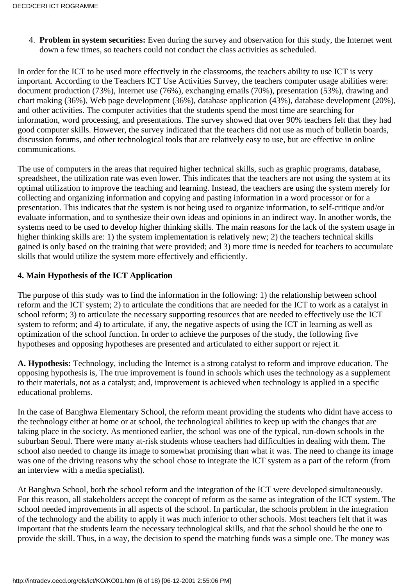**Problem in system securities:** Even during the survey and observation for this study, the Internet went 4. down a few times, so teachers could not conduct the class activities as scheduled.

In order for the ICT to be used more effectively in the classrooms, the teachers ability to use ICT is very important. According to the Teachers ICT Use Activities Survey, the teachers computer usage abilities were: document production (73%), Internet use (76%), exchanging emails (70%), presentation (53%), drawing and chart making (36%), Web page development (36%), database application (43%), database development (20%), and other activities. The computer activities that the students spend the most time are searching for information, word processing, and presentations. The survey showed that over 90% teachers felt that they had good computer skills. However, the survey indicated that the teachers did not use as much of bulletin boards, discussion forums, and other technological tools that are relatively easy to use, but are effective in online communications.

The use of computers in the areas that required higher technical skills, such as graphic programs, database, spreadsheet, the utilization rate was even lower. This indicates that the teachers are not using the system at its optimal utilization to improve the teaching and learning. Instead, the teachers are using the system merely for collecting and organizing information and copying and pasting information in a word processor or for a presentation. This indicates that the system is not being used to organize information, to self-critique and/or evaluate information, and to synthesize their own ideas and opinions in an indirect way. In another words, the systems need to be used to develop higher thinking skills. The main reasons for the lack of the system usage in higher thinking skills are: 1) the system implementation is relatively new; 2) the teachers technical skills gained is only based on the training that were provided; and 3) more time is needed for teachers to accumulate skills that would utilize the system more effectively and efficiently.

## **4. Main Hypothesis of the ICT Application**

The purpose of this study was to find the information in the following: 1) the relationship between school reform and the ICT system; 2) to articulate the conditions that are needed for the ICT to work as a catalyst in school reform; 3) to articulate the necessary supporting resources that are needed to effectively use the ICT system to reform; and 4) to articulate, if any, the negative aspects of using the ICT in learning as well as optimization of the school function. In order to achieve the purposes of the study, the following five hypotheses and opposing hypotheses are presented and articulated to either support or reject it.

**A. Hypothesis:** Technology, including the Internet is a strong catalyst to reform and improve education. The opposing hypothesis is, The true improvement is found in schools which uses the technology as a supplement to their materials, not as a catalyst; and, improvement is achieved when technology is applied in a specific educational problems.

In the case of Banghwa Elementary School, the reform meant providing the students who didnt have access to the technology either at home or at school, the technological abilities to keep up with the changes that are taking place in the society. As mentioned earlier, the school was one of the typical, run-down schools in the suburban Seoul. There were many at-risk students whose teachers had difficulties in dealing with them. The school also needed to change its image to somewhat promising than what it was. The need to change its image was one of the driving reasons why the school chose to integrate the ICT system as a part of the reform (from an interview with a media specialist).

At Banghwa School, both the school reform and the integration of the ICT were developed simultaneously. For this reason, all stakeholders accept the concept of reform as the same as integration of the ICT system. The school needed improvements in all aspects of the school. In particular, the school s problem in the integration of the technology and the ability to apply it was much inferior to other schools. Most teachers felt that it was important that the students learn the necessary technological skills, and that the school should be the one to provide the skill. Thus, in a way, the decision to spend the matching funds was a simple one. The money was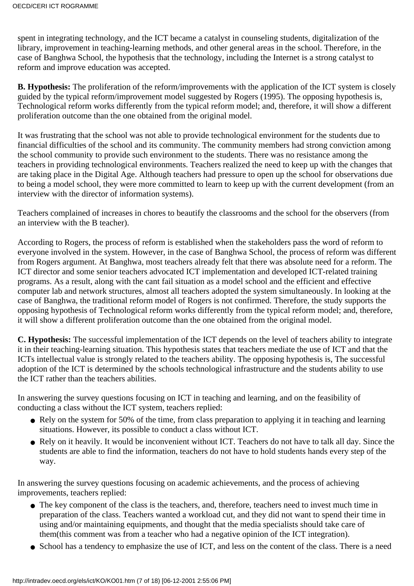spent in integrating technology, and the ICT became a catalyst in counseling students, digitalization of the library, improvement in teaching-learning methods, and other general areas in the school. Therefore, in the case of Banghwa School, the hypothesis that the technology, including the Internet is a strong catalyst to reform and improve education was accepted.

**B. Hypothesis:** The proliferation of the reform/improvements with the application of the ICT system is closely guided by the typical reform/improvement model suggested by Rogers (1995). The opposing hypothesis is, Technological reform works differently from the typical reform model; and, therefore, it will show a different proliferation outcome than the one obtained from the original model.

It was frustrating that the school was not able to provide technological environment for the students due to financial difficulties of the school and its community. The community members had strong conviction among the school community to provide such environment to the students. There was no resistance among the teachers in providing technological environments. Teachers realized the need to keep up with the changes that are taking place in the Digital Age. Although teachers had pressure to open up the school for observations due to being a model school, they were more committed to learn to keep up with the current development (from an interview with the director of information systems).

Teachers complained of increases in chores to beautify the classrooms and the school for the observers (from an interview with the B teacher).

According to Rogers, the process of reform is established when the stakeholders pass the word of reform to everyone involved in the system. However, in the case of Banghwa School, the process of reform was different from Rogers argument. At Banghwa, most teachers already felt that there was absolute need for a reform. The ICT director and some senior teachers advocated ICT implementation and developed ICT-related training programs. As a result, along with the cant fail situation as a model school and the efficient and effective computer lab and network structures, almost all teachers adopted the system simultaneously. In looking at the case of Banghwa, the traditional reform model of Rogers is not confirmed. Therefore, the study supports the opposing hypothesis of Technological reform works differently from the typical reform model; and, therefore, it will show a different proliferation outcome than the one obtained from the original model.

**C. Hypothesis:** The successful implementation of the ICT depends on the level of teachers ability to integrate it in their teaching-learning situation. This hypothesis states that teachers mediate the use of ICT and that the ICT s intellectual value is strongly related to the teachers ability. The opposing hypothesis is, The successful adoption of the ICT is determined by the school s technological infrastructure and the students ability to use the ICT rather than the teachers abilities.

In answering the survey questions focusing on ICT in teaching and learning, and on the feasibility of conducting a class without the ICT system, teachers replied:

- Rely on the system for 50% of the time, from class preparation to applying it in teaching and learning situations. However, it s possible to conduct a class without ICT.
- Rely on it heavily. It would be inconvenient without ICT. Teachers do not have to talk all day. Since the students are able to find the information, teachers do not have to hold students hands every step of the way.

In answering the survey questions focusing on academic achievements, and the process of achieving improvements, teachers replied:

- The key component of the class is the teachers, and, therefore, teachers need to invest much time in preparation of the class. Teachers wanted a workload cut, and they did not want to spend their time in using and/or maintaining equipments, and thought that the media specialists should take care of them(this comment was from a teacher who had a negative opinion of the ICT integration).
- School has a tendency to emphasize the use of ICT, and less on the content of the class. There is a need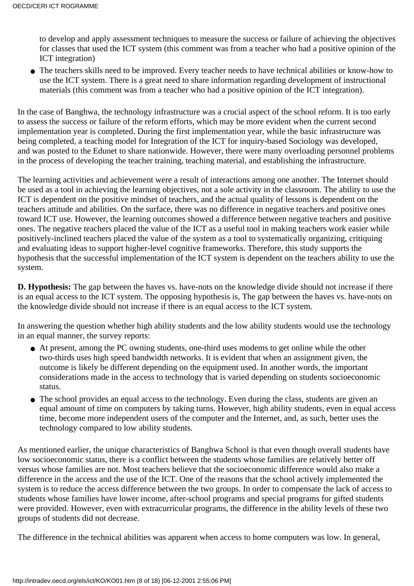to develop and apply assessment techniques to measure the success or failure of achieving the objectives for classes that used the ICT system (this comment was from a teacher who had a positive opinion of the ICT integration)

• The teachers skills need to be improved. Every teacher needs to have technical abilities or know-how to use the ICT system. There is a great need to share information regarding development of instructional materials (this comment was from a teacher who had a positive opinion of the ICT integration).

In the case of Banghwa, the technology infrastructure was a crucial aspect of the school reform. It is too early to assess the success or failure of the reform efforts, which may be more evident when the current second implementation year is completed. During the first implementation year, while the basic infrastructure was being completed, a teaching model for Integration of the ICT for inquiry-based Sociology was developed, and was posted to the Edunet to share nationwide. However, there were many overloading personnel problems in the process of developing the teacher training, teaching material, and establishing the infrastructure.

The learning activities and achievement were a result of interactions among one another. The Internet should be used as a tool in achieving the learning objectives, not a sole activity in the classroom. The ability to use the ICT is dependent on the positive mindset of teachers, and the actual quality of lessons is dependent on the teachers attitude and abilities. On the surface, there was no difference in negative teachers and positive ones toward ICT use. However, the learning outcomes showed a difference between negative teachers and positive ones. The negative teachers placed the value of the ICT as a useful tool in making teachers work easier while positively-inclined teachers placed the value of the system as a tool to systematically organizing, critiquing and evaluating ideas to support higher-level cognitive frameworks. Therefore, this study supports the hypothesis that the successful implementation of the ICT system is dependent on the teachers ability to use the system.

**D. Hypothesis:** The gap between the haves vs. have-nots on the knowledge divide should not increase if there is an equal access to the ICT system. The opposing hypothesis is, The gap between the haves vs. have-nots on the knowledge divide should not increase if there is an equal access to the ICT system.

In answering the question whether high ability students and the low ability students would use the technology in an equal manner, the survey reports:

- At present, among the PC owning students, one-third uses modems to get online while the other two-thirds uses high speed bandwidth networks. It is evident that when an assignment given, the outcome is likely be different depending on the equipment used. In another words, the important considerations made in the access to technology that is varied depending on students socioeconomic status.
- The school provides an equal access to the technology. Even during the class, students are given an equal amount of time on computers by taking turns. However, high ability students, even in equal access time, become more independent users of the computer and the Internet, and, as such, better uses the technology compared to low ability students.

As mentioned earlier, the unique characteristics of Banghwa School is that even though overall students have low socioeconomic status, there is a conflict between the students whose families are relatively better off versus whose families are not. Most teachers believe that the socioeconomic difference would also make a difference in the access and the use of the ICT. One of the reasons that the school actively implemented the system is to reduce the access difference between the two groups. In order to compensate the lack of access to students whose families have lower income, after-school programs and special programs for gifted students were provided. However, even with extracurricular programs, the difference in the ability levels of these two groups of students did not decrease.

The difference in the technical abilities was apparent when access to home computers was low. In general,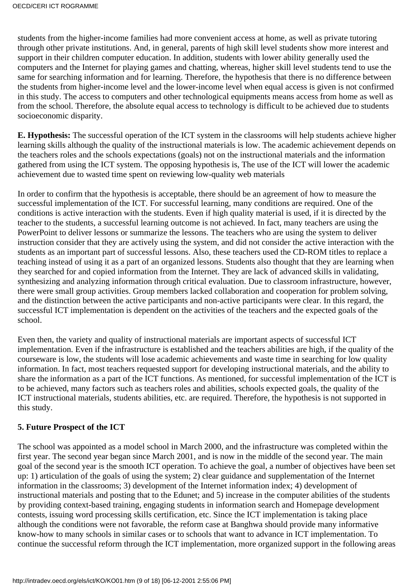students from the higher-income families had more convenient access at home, as well as private tutoring through other private institutions. And, in general, parents of high skill level students show more interest and support in their children computer education. In addition, students with lower ability generally used the computers and the Internet for playing games and chatting, whereas, higher skill level students tend to use the same for searching information and for learning. Therefore, the hypothesis that there is no difference between the students from higher-income level and the lower-income level when equal access is given is not confirmed in this study. The access to computers and other technological equipments means access from home as well as from the school. Therefore, the absolute equal access to technology is difficult to be achieved due to students socioeconomic disparity.

**E. Hypothesis:** The successful operation of the ICT system in the classrooms will help students achieve higher learning skills although the quality of the instructional materials is low. The academic achievement depends on the teachers roles and the schools expectations (goals) not on the instructional materials and the information gathered from using the ICT system. The opposing hypothesis is, The use of the ICT will lower the academic achievement due to wasted time spent on reviewing low-quality web materials

In order to confirm that the hypothesis is acceptable, there should be an agreement of how to measure the successful implementation of the ICT. For successful learning, many conditions are required. One of the conditions is active interaction with the students. Even if high quality material is used, if it is directed by the teacher to the students, a successful learning outcome is not achieved. In fact, many teachers are using the PowerPoint to deliver lessons or summarize the lessons. The teachers who are using the system to deliver instruction consider that they are actively using the system, and did not consider the active interaction with the students as an important part of successful lessons. Also, these teachers used the CD-ROM titles to replace a teaching instead of using it as a part of an organized lessons. Students also thought that they are learning when they searched for and copied information from the Internet. They are lack of advanced skills in validating, synthesizing and analyzing information through critical evaluation. Due to classroom infrastructure, however, there were small group activities. Group members lacked collaboration and cooperation for problem solving, and the distinction between the active participants and non-active participants were clear. In this regard, the successful ICT implementation is dependent on the activities of the teachers and the expected goals of the school.

Even then, the variety and quality of instructional materials are important aspects of successful ICT implementation. Even if the infrastructure is established and the teachers abilities are high, if the quality of the courseware is low, the students will lose academic achievements and waste time in searching for low quality information. In fact, most teachers requested support for developing instructional materials, and the ability to share the information as a part of the ICT functions. As mentioned, for successful implementation of the ICT is to be achieved, many factors such as teachers roles and abilities, schools expected goals, the quality of the ICT instructional materials, students abilities, etc. are required. Therefore, the hypothesis is not supported in this study.

## **5. Future Prospect of the ICT**

The school was appointed as a model school in March 2000, and the infrastructure was completed within the first year. The second year began since March 2001, and is now in the middle of the second year. The main goal of the second year is the smooth ICT operation. To achieve the goal, a number of objectives have been set up: 1) articulation of the goals of using the system; 2) clear guidance and supplementation of the Internet information in the classrooms; 3) development of the Internet information index; 4) development of instructional materials and posting that to the Edunet; and 5) increase in the computer abilities of the students by providing context-based training, engaging students in information search and Homepage development contests, issuing word processing skills certification, etc. Since the ICT implementation is taking place although the conditions were not favorable, the reform case at Banghwa should provide many informative know-how to many schools in similar cases or to schools that want to advance in ICT implementation. To continue the successful reform through the ICT implementation, more organized support in the following areas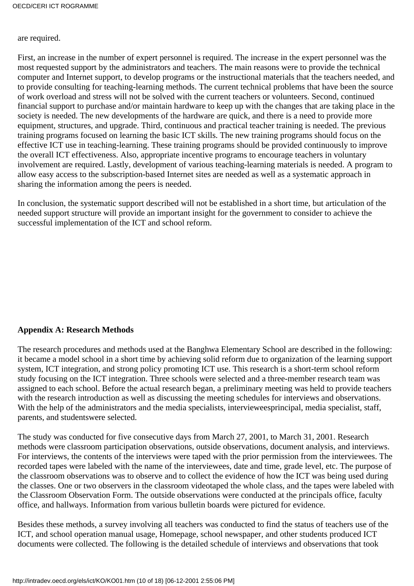#### are required.

First, an increase in the number of expert personnel is required. The increase in the expert personnel was the most requested support by the administrators and teachers. The main reasons were to provide the technical computer and Internet support, to develop programs or the instructional materials that the teachers needed, and to provide consulting for teaching-learning methods. The current technical problems that have been the source of work overload and stress will not be solved with the current teachers or volunteers. Second, continued financial support to purchase and/or maintain hardware to keep up with the changes that are taking place in the society is needed. The new developments of the hardware are quick, and there is a need to provide more equipment, structures, and upgrade. Third, continuous and practical teacher training is needed. The previous training programs focused on learning the basic ICT skills. The new training programs should focus on the effective ICT use in teaching-learning. These training programs should be provided continuously to improve the overall ICT effectiveness. Also, appropriate incentive programs to encourage teachers in voluntary involvement are required. Lastly, development of various teaching-learning materials is needed. A program to allow easy access to the subscription-based Internet sites are needed as well as a systematic approach in sharing the information among the peers is needed.

In conclusion, the systematic support described will not be established in a short time, but articulation of the needed support structure will provide an important insight for the government to consider to achieve the successful implementation of the ICT and school reform.

## **Appendix A: Research Methods**

The research procedures and methods used at the Banghwa Elementary School are described in the following: it became a model school in a short time by achieving solid reform due to organization of the learning support system, ICT integration, and strong policy promoting ICT use. This research is a short-term school reform study focusing on the ICT integration. Three schools were selected and a three-member research team was assigned to each school. Before the actual research began, a preliminary meeting was held to provide teachers with the research introduction as well as discussing the meeting schedules for interviews and observations. With the help of the administrators and the media specialists, interviewees principal, media specialist, staff, parents, and students were selected.

The study was conducted for five consecutive days from March 27, 2001, to March 31, 2001. Research methods were classroom participation observations, outside observations, document analysis, and interviews. For interviews, the contents of the interviews were taped with the prior permission from the interviewees. The recorded tapes were labeled with the name of the interviewees, date and time, grade level, etc. The purpose of the classroom observations was to observe and to collect the evidence of how the ICT was being used during the classes. One or two observers in the classroom videotaped the whole class, and the tapes were labeled with the Classroom Observation Form. The outside observations were conducted at the principal s office, faculty office, and hallways. Information from various bulletin boards were pictured for evidence.

Besides these methods, a survey involving all teachers was conducted to find the status of teachers use of the ICT, and school operation manual usage, Homepage, school newspaper, and other students produced ICT documents were collected. The following is the detailed schedule of interviews and observations that took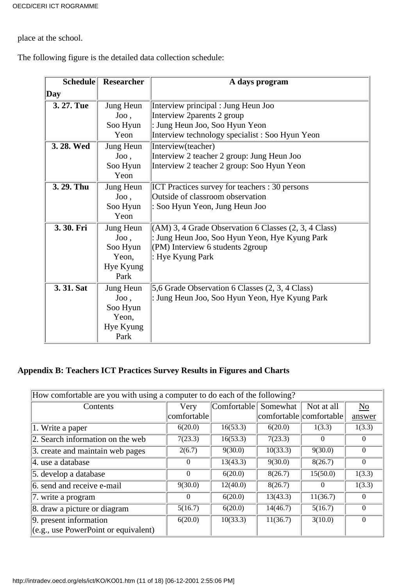place at the school.

The following figure is the detailed data collection schedule:

| <b>Schedule</b> | <b>Researcher</b> | A day s program                                                   |
|-----------------|-------------------|-------------------------------------------------------------------|
| Day             |                   |                                                                   |
| 3. 27. Tue      | Jung Heun         | Interview principal : Jung Heun Joo                               |
|                 | Joo,              | Interview 2parents 2 group                                        |
|                 | Soo Hyun          | : Jung Heun Joo, Soo Hyun Yeon                                    |
|                 | Yeon              | Interview technology specialist : Soo Hyun Yeon                   |
| 3.28. Wed       | Jung Heun         | Interview(teacher)                                                |
|                 | Joo,              | Interview 2 teacher 2 group: Jung Heun Joo                        |
|                 | Soo Hyun          | Interview 2 teacher 2 group: Soo Hyun Yeon                        |
|                 | Yeon              |                                                                   |
| 3.29. Thu       | Jung Heun         | <b>ICT</b> Practices survey for teachers : 30 persons             |
|                 | $Joo$ ,           | Outside of classroom observation                                  |
|                 | Soo Hyun          | : Soo Hyun Yeon, Jung Heun Joo                                    |
|                 | Yeon              |                                                                   |
| 3.30. Fri       | Jung Heun         | $(AM)$ 3, 4 Grade Observation 6 Classes $(2, 3, 4 \text{ Class})$ |
|                 | Joo,              | : Jung Heun Joo, Soo Hyun Yeon, Hye Kyung Park                    |
|                 | Soo Hyun          | $ $ (PM) Interview 6 students 2group                              |
|                 | Yeon,             | : Hye Kyung Park                                                  |
|                 | Hye Kyung         |                                                                   |
|                 | Park              |                                                                   |
| 3.31. Sat       | Jung Heun         | 5,6 Grade Observation 6 Classes (2, 3, 4 Class)                   |
|                 | Joo,              | : Jung Heun Joo, Soo Hyun Yeon, Hye Kyung Park                    |
|                 | Soo Hyun          |                                                                   |
|                 | Yeon,             |                                                                   |
|                 | Hye Kyung         |                                                                   |
|                 | Park              |                                                                   |

# **Appendix B: Teachers ICT Practices Survey Results in Figures and Charts**

| How comfortable are you with using a computer to do each of the following? |             |             |          |                         |                |  |
|----------------------------------------------------------------------------|-------------|-------------|----------|-------------------------|----------------|--|
| Contents                                                                   | Very        | Comfortable | Somewhat | Not at all              | N <sub>o</sub> |  |
|                                                                            | comfortable |             |          | comfortable comfortable | answer         |  |
| $\sqrt{1}$ . Write a paper                                                 | 6(20.0)     | 16(53.3)    | 6(20.0)  | 1(3.3)                  | 1(3.3)         |  |
| 2. Search information on the web                                           | 7(23.3)     | 16(53.3)    | 7(23.3)  | $\theta$                | $\theta$       |  |
| 3. create and maintain web pages                                           | 2(6.7)      | 9(30.0)     | 10(33.3) | 9(30.0)                 | $\Omega$       |  |
| 4. use a database                                                          | $\theta$    | 13(43.3)    | 9(30.0)  | 8(26.7)                 | $\Omega$       |  |
| 5. develop a database                                                      | $\Omega$    | 6(20.0)     | 8(26.7)  | 15(50.0)                | 1(3.3)         |  |
| 6. send and receive e-mail                                                 | 9(30.0)     | 12(40.0)    | 8(26.7)  | $\Omega$                | 1(3.3)         |  |
| 7. write a program                                                         | $\Omega$    | 6(20.0)     | 13(43.3) | 11(36.7)                | $\theta$       |  |
| 8. draw a picture or diagram                                               | 5(16.7)     | 6(20.0)     | 14(46.7) | 5(16.7)                 | $\Omega$       |  |
| 9. present information                                                     | 6(20.0)     | 10(33.3)    | 11(36.7) | 3(10.0)                 | $\theta$       |  |
| $\left  (e.g., use PowerPoint or equivalent) \right $                      |             |             |          |                         |                |  |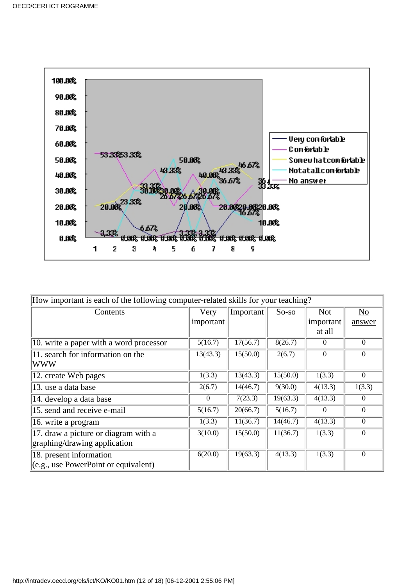

| How important is each of the following computer-related skills for your teaching? |           |           |          |                |                |  |
|-----------------------------------------------------------------------------------|-----------|-----------|----------|----------------|----------------|--|
| Contents                                                                          | Very      | Important | $So-so$  | <b>Not</b>     | N <sub>o</sub> |  |
|                                                                                   | important |           |          | important      | answer         |  |
|                                                                                   |           |           |          | at all         |                |  |
| 10. write a paper with a word processor                                           | 5(16.7)   | 17(56.7)  | 8(26.7)  | $\overline{0}$ | $\theta$       |  |
| 11. search for information on the                                                 | 13(43.3)  | 15(50.0)  | 2(6.7)   | $\theta$       | $\Omega$       |  |
| <b>WWW</b>                                                                        |           |           |          |                |                |  |
| 12. create Web pages                                                              | 1(3.3)    | 13(43.3)  | 15(50.0) | 1(3.3)         | $\theta$       |  |
| 13. use a data base                                                               | 2(6.7)    | 14(46.7)  | 9(30.0)  | 4(13.3)        | 1(3.3)         |  |
| 14. develop a data base                                                           | $\Omega$  | 7(23.3)   | 19(63.3) | 4(13.3)        | $\theta$       |  |
| 15. send and receive e-mail                                                       | 5(16.7)   | 20(66.7)  | 5(16.7)  | $\theta$       | $\theta$       |  |
| 16. write a program                                                               | 1(3.3)    | 11(36.7)  | 14(46.7) | 4(13.3)        | $\overline{0}$ |  |
| 17. draw a picture or diagram with a                                              | 3(10.0)   | 15(50.0)  | 11(36.7) | 1(3.3)         | $\Omega$       |  |
| graphing/drawing application                                                      |           |           |          |                |                |  |
| 18. present information                                                           | 6(20.0)   | 19(63.3)  | 4(13.3)  | 1(3.3)         | $\overline{0}$ |  |
| (e.g., use PowerPoint or equivalent)                                              |           |           |          |                |                |  |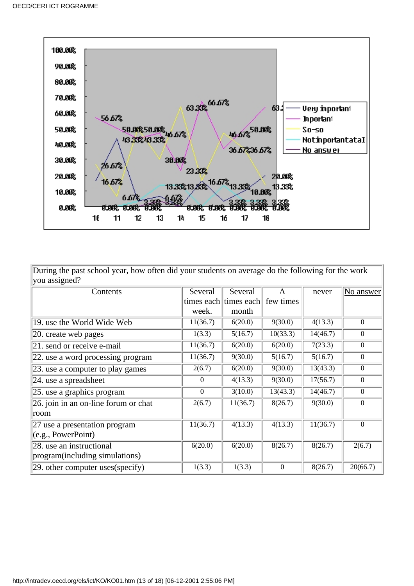

During the past school year, how often did your students on average do the following for the work  $\sqrt{2}$ you assigned?

| $\mu$ ou aborgrica.                                |            |            |                  |          |                  |
|----------------------------------------------------|------------|------------|------------------|----------|------------------|
| Contents                                           | Several    | Several    | A                | never    | No answer        |
|                                                    | times each | times each | few times        |          |                  |
|                                                    | week.      | month      |                  |          |                  |
| 19. use the World Wide Web                         | 11(36.7)   | 6(20.0)    | 9(30.0)          | 4(13.3)  | $\boldsymbol{0}$ |
| $ 20$ . create web pages                           | 1(3.3)     | 5(16.7)    | 10(33.3)         | 14(46.7) | $\boldsymbol{0}$ |
| $ 21$ . send or receive e-mail                     | 11(36.7)   | 6(20.0)    | 6(20.0)          | 7(23.3)  | $\boldsymbol{0}$ |
| 22. use a word processing program                  | 11(36.7)   | 9(30.0)    | 5(16.7)          | 5(16.7)  | $\mathbf{0}$     |
| [23. use a computer to play games                  | 2(6.7)     | 6(20.0)    | 9(30.0)          | 13(43.3) | $\theta$         |
| $ 24$ . use a spreadsheet                          | $\theta$   | 4(13.3)    | 9(30.0)          | 17(56.7) | $\boldsymbol{0}$ |
| $ 25$ . use a graphics program                     | $\Omega$   | 3(10.0)    | 13(43.3)         | 14(46.7) | $\boldsymbol{0}$ |
| $\overline{26}$ . join in an on-line forum or chat | 2(6.7)     | 11(36.7)   | 8(26.7)          | 9(30.0)  | $\mathbf{0}$     |
| room                                               |            |            |                  |          |                  |
| 27 use a presentation program                      | 11(36.7)   | 4(13.3)    | 4(13.3)          | 11(36.7) | $\overline{0}$   |
| (e.g., PowerPoint)                                 |            |            |                  |          |                  |
| 28. use an instructional                           | 6(20.0)    | 6(20.0)    | 8(26.7)          | 8(26.7)  | 2(6.7)           |
| program(including simulations)                     |            |            |                  |          |                  |
| $ 29.$ other computer uses (specify)               | 1(3.3)     | 1(3.3)     | $\boldsymbol{0}$ | 8(26.7)  | 20(66.7)         |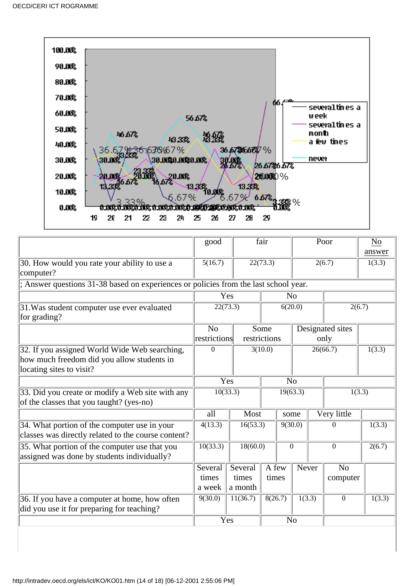

|                                                                                                                         | good                           |                                | fair                                             | Poor           |          |                            | N <sub>0</sub><br>answer |
|-------------------------------------------------------------------------------------------------------------------------|--------------------------------|--------------------------------|--------------------------------------------------|----------------|----------|----------------------------|--------------------------|
| 30. How would you rate your ability to use a<br>computer?                                                               | 5(16.7)                        |                                | 22(73.3)                                         |                |          | 2(6.7)                     | 1(3.3)                   |
| ; Answer questions 31-38 based on experiences or policies from the last school year.                                    |                                |                                |                                                  |                |          |                            |                          |
|                                                                                                                         |                                | Yes                            |                                                  | N <sub>o</sub> |          |                            |                          |
| 31. Was student computer use ever evaluated<br>for grading?                                                             | 22(73.3)                       |                                | 6(20.0)                                          |                | 2(6.7)   |                            |                          |
|                                                                                                                         | N <sub>o</sub><br>restrictions |                                | Some<br>Designated sites<br>restrictions<br>only |                |          |                            |                          |
| 32. If you assigned World Wide Web searching,<br>how much freedom did you allow students in<br>locating sites to visit? | $\Omega$                       |                                | $\overline{3(10.0)}$<br>26(66.7)                 |                |          | 1(3.3)                     |                          |
|                                                                                                                         |                                | Yes                            |                                                  | N <sub>o</sub> |          |                            |                          |
| 33. Did you create or modify a Web site with any<br>of the classes that you taught? (yes-no)                            |                                | 10(33.3)<br>19(63.3)<br>1(3.3) |                                                  |                |          |                            |                          |
|                                                                                                                         | all                            | Most                           |                                                  | some           |          | Very little                |                          |
| 34. What portion of the computer use in your<br>classes was directly related to the course content?                     | 4(13.3)                        | 16(53.3)                       | 9(30.0)                                          |                | $\Omega$ | 1(3.3)                     |                          |
| 35. What portion of the computer use that you<br>assigned was done by students individually?                            | 10(33.3)                       | 18(60.0)                       |                                                  | $\mathbf{0}$   |          | $\overline{0}$             | 2(6.7)                   |
|                                                                                                                         | Several<br>times<br>a week     | Several<br>times<br>a month    | A few<br>times                                   | Never          |          | N <sub>o</sub><br>computer |                          |
| 36. If you have a computer at home, how often<br>did you use it for preparing for teaching?                             | 9(30.0)                        | 11(36.7)                       | 8(26.7)                                          | 1(3.3)         |          | $\boldsymbol{0}$           | 1(3.3)                   |
|                                                                                                                         |                                | Yes                            |                                                  | N <sub>o</sub> |          |                            |                          |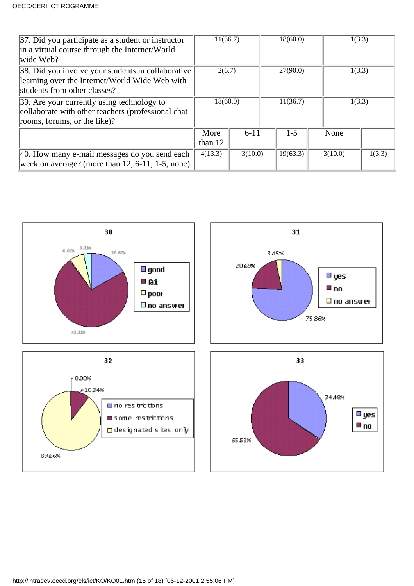| 37. Did you participate as a student or instructor<br>in a virtual course through the Internet/World<br>wide Web?                    | 11(36.7)          |          | 18(60.0) |          | 1(3.3) |         |        |
|--------------------------------------------------------------------------------------------------------------------------------------|-------------------|----------|----------|----------|--------|---------|--------|
| 38. Did you involve your students in collaborative<br>learning over the Internet/World Wide Web with<br>students from other classes? | 2(6.7)            |          | 27(90.0) |          | 1(3.3) |         |        |
| 39. Are your currently using technology to<br>collaborate with other teachers (professional chat<br>rooms, forums, or the like)?     | 18(60.0)          |          | 11(36.7) |          | 1(3.3) |         |        |
|                                                                                                                                      | More<br>than $12$ | $6 - 11$ |          | $1 - 5$  |        | None    |        |
| 40. How many e-mail messages do you send each<br>week on average? (more than $12, 6-11, 1-5$ , none)                                 | 4(13.3)           | 3(10.0)  |          | 19(63.3) |        | 3(10.0) | 1(3.3) |

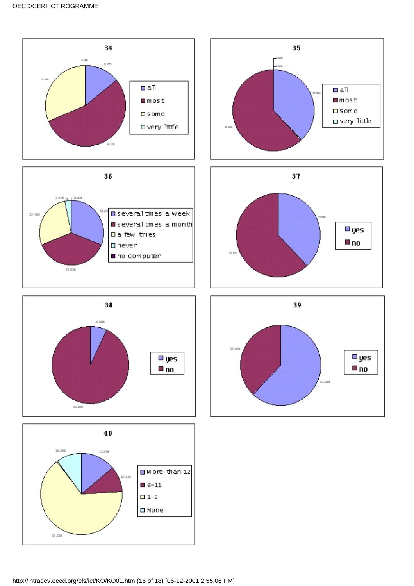









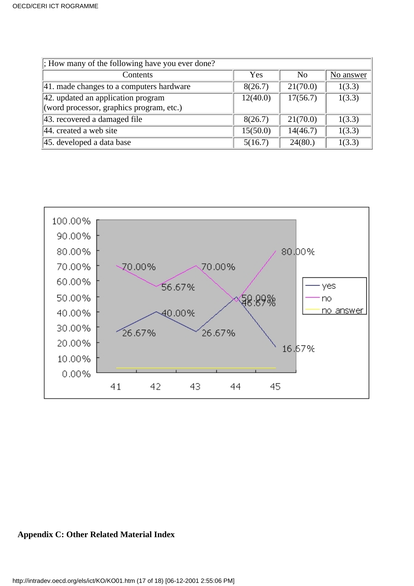| $\vert$ ; How many of the following have you ever done?              |          |                |           |
|----------------------------------------------------------------------|----------|----------------|-----------|
| Contents                                                             | Yes      | N <sub>0</sub> | No answer |
| $ 41$ . made changes to a computer s hardware                        | 8(26.7)  | 21(70.0)       | 1(3.3)    |
| 42. updated an application program<br>17(56.7)<br>12(40.0)<br>1(3.3) |          |                |           |
| (word processor, graphics program, etc.)                             |          |                |           |
| 43. recovered a damaged file                                         | 8(26.7)  | 21(70.0)       | 1(3.3)    |
| $ 44$ . created a web site                                           | 15(50.0) | 14(46.7)       | 1(3.3)    |
| 45. developed a data base                                            | 5(16.7)  | 24(80.)        | 1(3.3)    |



# **Appendix C: Other Related Material Index**